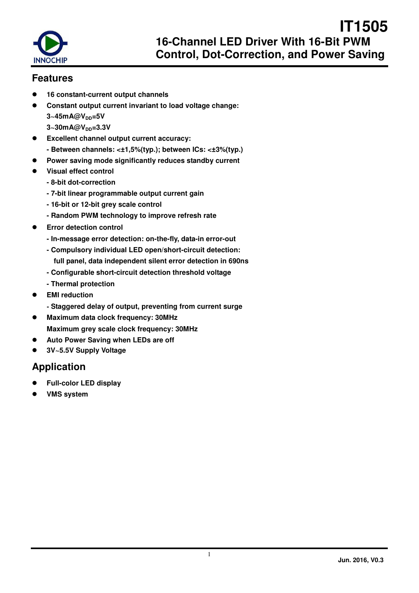

### **Features**

- **16 constant-current output channels**
- **Constant output current invariant to load voltage change: 3~45mA@VDD=5V 3~30mA@VDD=3.3V**
- **Excellent channel output current accuracy: - Between channels: <±1,5%(typ.); between ICs: <±3%(typ.)**
- **Power saving mode significantly reduces standby current**
- **Visual effect control** 
	- **8-bit dot-correction**
	- **7-bit linear programmable output current gain**
	- **16-bit or 12-bit grey scale control**
	- **Random PWM technology to improve refresh rate**
- **Error detection control** 
	- **In-message error detection: on-the-fly, data-in error-out**
	- **Compulsory individual LED open/short-circuit detection: full panel, data independent silent error detection in 690ns**
	- **Configurable short-circuit detection threshold voltage**
	- **Thermal protection**
- **EMI reduction** 
	- **Staggered delay of output, preventing from current surge**
- **Maximum data clock frequency: 30MHz Maximum grey scale clock frequency: 30MHz**
- **Auto Power Saving when LEDs are off**
- **3V~5.5V Supply Voltage**

### **Application**

- **Full-color LED display**
- **VMS system**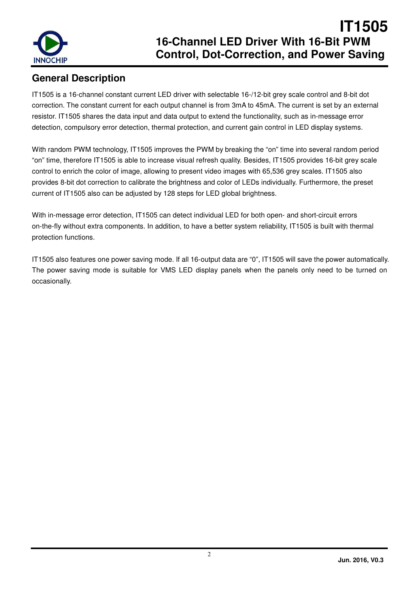

## **General Description**

IT1505 is a 16-channel constant current LED driver with selectable 16-/12-bit grey scale control and 8-bit dot correction. The constant current for each output channel is from 3mA to 45mA. The current is set by an external resistor. IT1505 shares the data input and data output to extend the functionality, such as in-message error detection, compulsory error detection, thermal protection, and current gain control in LED display systems.

With random PWM technology, IT1505 improves the PWM by breaking the "on" time into several random period "on" time, therefore IT1505 is able to increase visual refresh quality. Besides, IT1505 provides 16-bit grey scale control to enrich the color of image, allowing to present video images with 65,536 grey scales. IT1505 also provides 8-bit dot correction to calibrate the brightness and color of LEDs individually. Furthermore, the preset current of IT1505 also can be adjusted by 128 steps for LED global brightness.

With in-message error detection, IT1505 can detect individual LED for both open- and short-circuit errors on-the-fly without extra components. In addition, to have a better system reliability, IT1505 is built with thermal protection functions.

IT1505 also features one power saving mode. If all 16-output data are "0", IT1505 will save the power automatically. The power saving mode is suitable for VMS LED display panels when the panels only need to be turned on occasionally.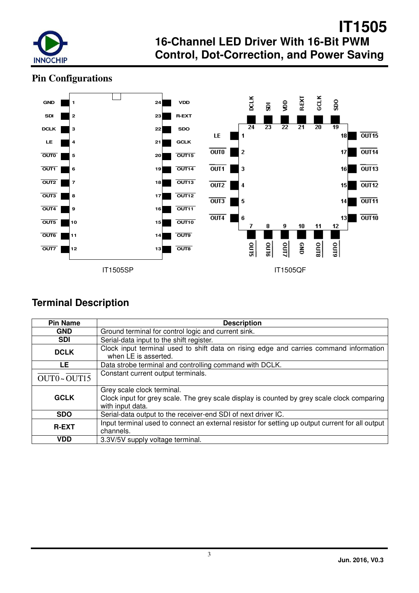

## **Pin Configurations**



## **Terminal Description**

| <b>Pin Name</b> | <b>Description</b>                                                                                                                            |  |  |  |  |  |  |
|-----------------|-----------------------------------------------------------------------------------------------------------------------------------------------|--|--|--|--|--|--|
| <b>GND</b>      | Ground terminal for control logic and current sink.                                                                                           |  |  |  |  |  |  |
| <b>SDI</b>      | Serial-data input to the shift register.                                                                                                      |  |  |  |  |  |  |
| <b>DCLK</b>     | Clock input terminal used to shift data on rising edge and carries command information<br>when LE is asserted.                                |  |  |  |  |  |  |
| LE              | Data strobe terminal and controlling command with DCLK.                                                                                       |  |  |  |  |  |  |
| OUT0~OUT15      | Constant current output terminals.                                                                                                            |  |  |  |  |  |  |
| <b>GCLK</b>     | Grey scale clock terminal.<br>Clock input for grey scale. The grey scale display is counted by grey scale clock comparing<br>with input data. |  |  |  |  |  |  |
| <b>SDO</b>      | Serial-data output to the receiver-end SDI of next driver IC.                                                                                 |  |  |  |  |  |  |
| <b>R-EXT</b>    | Input terminal used to connect an external resistor for setting up output current for all output<br>channels.                                 |  |  |  |  |  |  |
| <b>VDD</b>      | 3.3V/5V supply voltage terminal.                                                                                                              |  |  |  |  |  |  |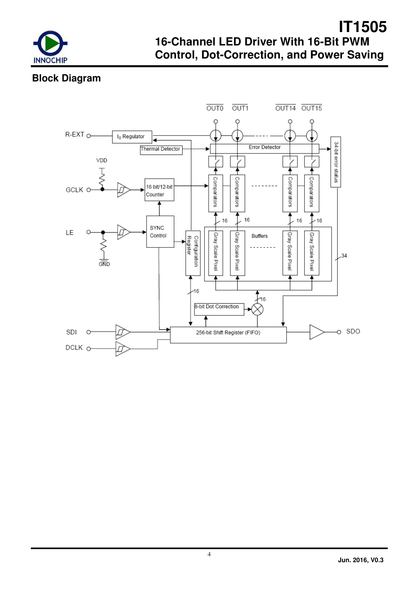

## **Block Diagram**

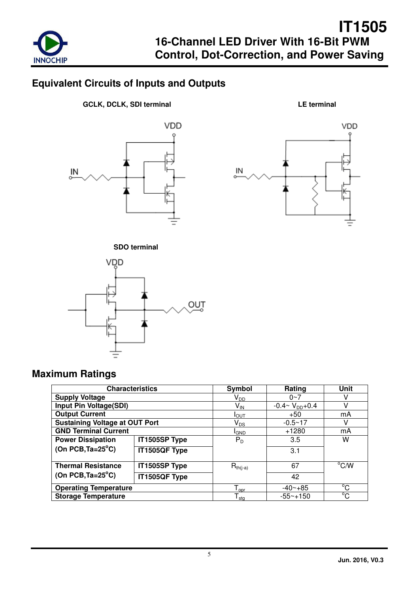

## **Equivalent Circuits of Inputs and Outputs**

**GCLK, DCLK, SDI terminal LE terminal** 









## **Maximum Ratings**

| <b>Characteristics</b>                |               | Symbol                       | Rating                   | Unit           |
|---------------------------------------|---------------|------------------------------|--------------------------|----------------|
| <b>Supply Voltage</b>                 |               | V <sub>DD</sub>              | $0 - 7$                  |                |
| Input Pin Voltage(SDI)                |               | $V_{IN}$                     | $-0.4 \sim V_{DD} + 0.4$ | v              |
| <b>Output Current</b>                 |               | $I_{\text{OUT}}$             | $+50$                    | mA             |
| <b>Sustaining Voltage at OUT Port</b> |               | $\mathsf{V}_{\mathsf{DS}}$   | $-0.5 - 17$              |                |
| <b>GND Terminal Current</b>           |               | <sup>I</sup> GND             | $+1280$                  | mA             |
| <b>Power Dissipation</b>              | IT1505SP Type | $P_{D}$                      | 3.5                      | w              |
| (On PCB, $Ta = 25^{\circ}C$ )         | IT1505QF Type |                              | 3.1                      |                |
| <b>Thermal Resistance</b>             | IT1505SP Type | $R_{th(i-a)}$                | 67                       | $^{\circ}$ C/W |
| (On PCB, $Ta = 25^{\circ}C$ )         | IT1505QF Type |                              | 42                       |                |
| <b>Operating Temperature</b>          |               | $T_{\text{opt}}$             | $-40 - +85$              | °C             |
| <b>Storage Temperature</b>            |               | ${\mathsf T}_{\textsf{stg}}$ | $-55 - +150$             | °C             |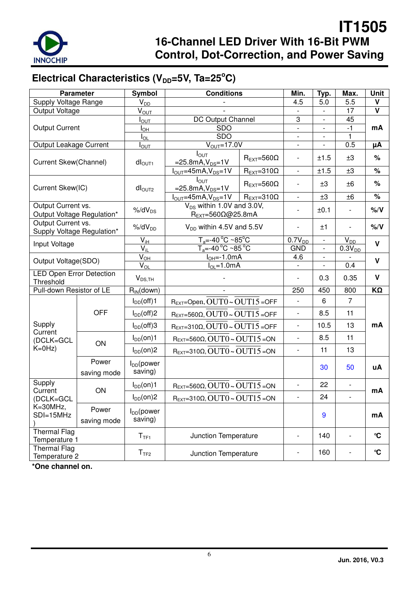

# Electrical Characteristics (V<sub>DD</sub>=5V, Ta=25<sup>°</sup>C)

| <b>Parameter</b>                                 |                      | Symbol                          | <b>Conditions</b>                                                    | Min.                         | Typ.                     | Max.                     | <b>Unit</b>              |                      |
|--------------------------------------------------|----------------------|---------------------------------|----------------------------------------------------------------------|------------------------------|--------------------------|--------------------------|--------------------------|----------------------|
| Supply Voltage Range                             |                      | $V_{DD}$                        |                                                                      |                              | 4.5                      | 5.0                      | 5.5                      | v                    |
| Output Voltage                                   |                      | $V_{\text{OUT}}$                |                                                                      |                              |                          | $\overline{a}$           | 17                       | $\mathbf v$          |
|                                                  |                      | $I_{\text{OUT}}$                | DC Output Channel                                                    |                              | 3                        | $\overline{\phantom{0}}$ | 45                       |                      |
| <b>Output Current</b>                            |                      | $I_{OH}$                        | <b>SDO</b>                                                           |                              | $\mathbf{r}$             | $\overline{\phantom{0}}$ | $-1$                     | mA                   |
|                                                  |                      | $I_{OL}$                        | <b>SDO</b>                                                           |                              | $\overline{\phantom{a}}$ | $\overline{\phantom{0}}$ | 1                        |                      |
| Output Leakage Current                           |                      | $I_{\text{OUT}}$                | $\overline{V_{\text{OUT}}}$ =17.0V                                   |                              | $\blacksquare$           | $\overline{\phantom{0}}$ | 0.5                      | μA                   |
| Current Skew(Channel)                            |                      | dI <sub>OUT1</sub>              | $I_{OUT}$<br>$=25.8mA, V_{DS}=1V$                                    | $R_{\text{EXT}}=560\Omega$   | $\overline{\phantom{0}}$ | ±1.5                     | ±3                       | %                    |
|                                                  |                      |                                 | $I_{OUT} = 45mA, V_{DS} = 1V$                                        | $R_{EXT}=310\Omega$          | $\mathbb{L}$             | ±1.5                     | ±3                       | $\%$                 |
| Current Skew(IC)                                 |                      | $dl_{\text{OUT2}}$              | $I_{\text{OUT}}$<br>$=25.8mA, V_{DS}=1V$                             | $R_{\text{FXT}} = 560\Omega$ | $\overline{\phantom{a}}$ | ±3                       | ±6                       | %                    |
|                                                  |                      |                                 | $I_{OUT} = 45mA, V_{DS} = 1V$                                        | $R_{\text{EXT}} = 310\Omega$ | $\overline{\phantom{a}}$ | ±3                       | ±6                       | $\frac{1}{\sqrt{2}}$ |
| Output Current vs.<br>Output Voltage Regulation* |                      | $%$ /d $V_{DS}$                 | $V_{DS}$ within 1.0V and 3.0V,<br>$R_{EXT} = 560\Omega\omega$ 25.8mA |                              |                          | ±0.1                     |                          | % / V                |
| Output Current vs.<br>Supply Voltage Regulation* |                      | $%$ /d $V_{DD}$                 | $V_{DD}$ within 4.5V and 5.5V                                        |                              | $\overline{\phantom{a}}$ | ±1                       |                          | $%$ /V               |
|                                                  |                      | $V_{iH}$                        | $T_a = -40\degree C - 85\degree C$                                   |                              | $0.7V_{DD}$              | $\overline{\phantom{0}}$ | $V_{D\underline{D}}$     | $\mathbf v$          |
| Input Voltage                                    |                      | $\overline{V_{iL}}$             | $T = -40^{\circ}$ C ~85 $^{\circ}$ C                                 |                              | <b>GND</b>               | $\overline{\phantom{a}}$ | $0.3V_{DD}$              |                      |
| Output Voltage(SDO)                              |                      | $\overline{V}_{\underline{OH}}$ | $I_{OH} = -1.0$ mA                                                   |                              | 4.6                      | $\overline{\phantom{a}}$ |                          | V                    |
|                                                  |                      | $\overline{V}_{\underline{O}L}$ | $I_{OL} = 1.0mA$                                                     |                              |                          | $\overline{\phantom{0}}$ | 0.4                      |                      |
| <b>LED Open Error Detection</b><br>Threshold     |                      | $V_{DS,TH}$                     |                                                                      |                              |                          | 0.3                      | 0.35                     | V                    |
| Pull-down Resistor of LE                         |                      | $R_{IN}$ (down)                 |                                                                      |                              | 250                      | 450                      | 800                      | $K\Omega$            |
|                                                  |                      | $I_{DD}(off)1$                  | $R_{EXT}$ =Open, $OUT0 \sim OUT15$ =OFF                              |                              | $\overline{\phantom{a}}$ | 6                        | $\overline{7}$           |                      |
|                                                  | <b>OFF</b>           | $I_{DD}(off)2$                  | $R_{EXT}=560\Omega$ , OUT $0 \sim$ OUT $15$ = OFF                    |                              | $\overline{\phantom{a}}$ | 8.5                      | 11                       |                      |
| Supply<br>Current                                |                      | $I_{DD}(off)$ 3                 | $R_{EXT}=310\Omega$ , $OUT0 \sim OUT15 = OFF$                        |                              | $\overline{\phantom{a}}$ | 10.5                     | 13                       | mA                   |
| (DCLK=GCL                                        |                      | $I_{DD}(on)1$                   | $R_{EXT}=560\Omega$ , $OUT0 \sim OUT15 = ON$                         |                              | $\overline{\phantom{a}}$ | 8.5                      | 11                       |                      |
| $K=0$ Hz)                                        | ON                   | $I_{DD}(on)2$                   | $R_{EXT}=310\Omega$ , OUT $0 \sim$ OUT $15$ = ON                     |                              | $\blacksquare$           | 11                       | 13                       |                      |
|                                                  | Power<br>saving mode | $I_{DD}$ (power<br>saving)      |                                                                      |                              |                          | 30                       | 50                       | uA                   |
| Supply<br>Current                                | ON                   | $I_{DD}(on)1$                   | $R_{EXT}=560\Omega$ , OUT $0 \sim$ OUT $15$ = ON                     |                              | $\overline{\phantom{a}}$ | 22                       | $\overline{\phantom{a}}$ | mA                   |
| (DCLK=GCL                                        |                      | $I_{DD}(on)2$                   | $R_{EXT}=310\Omega$ , $OUT0 \sim OUT15 = ON$                         |                              | $\frac{1}{2}$            | 24                       |                          |                      |
| K=30MHz,<br>SDI=15MHz                            | Power<br>saving mode | $I_{DD}$ (power<br>saving)      |                                                                      |                              | 9                        |                          | mA                       |                      |
| <b>Thermal Flag</b><br>Temperature 1             |                      | T <sub>TF1</sub>                | Junction Temperature                                                 |                              | $\overline{\phantom{a}}$ | 140                      |                          | $\mathbf{C}$         |
| <b>Thermal Flag</b><br>Temperature 2             |                      | T <sub>TF2</sub>                | Junction Temperature                                                 |                              | $\overline{\phantom{a}}$ | 160                      |                          | $\mathbf{C}$         |

**\*One channel on.**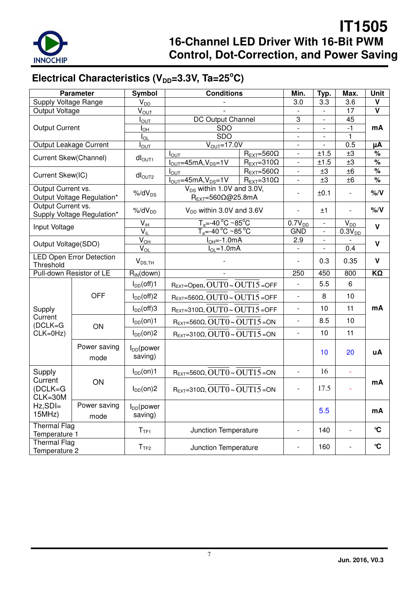

# Electrical Characteristics (V<sub>DD</sub>=3.3V, Ta=25<sup>°</sup>C)

|                                      | <b>Parameter</b>                | Symbol                     | <b>Conditions</b>                                                    |                                                              |                                                      |                          | Min.                     | Typ.                    | Max.           | Unit |     |                          |    |  |
|--------------------------------------|---------------------------------|----------------------------|----------------------------------------------------------------------|--------------------------------------------------------------|------------------------------------------------------|--------------------------|--------------------------|-------------------------|----------------|------|-----|--------------------------|----|--|
| Supply Voltage Range                 |                                 | $V_{DD}$                   |                                                                      |                                                              | 3.0                                                  | 3.3                      | 3.6                      | v                       |                |      |     |                          |    |  |
| Output Voltage                       |                                 | $\bar{V}_{\text{OUT}}$     |                                                                      |                                                              | $\mathbf{L}$                                         | $\overline{a}$           | 17                       | $\overline{\mathsf{v}}$ |                |      |     |                          |    |  |
|                                      |                                 | I <sub>OUT</sub>           | <b>DC Output Channel</b>                                             |                                                              |                                                      |                          |                          |                         |                |      | 3   | $\overline{\phantom{0}}$ | 45 |  |
| <b>Output Current</b>                |                                 | I <sub>OH</sub>            | SDO                                                                  |                                                              | $\blacksquare$                                       | $\overline{\phantom{0}}$ | -1                       | mA                      |                |      |     |                          |    |  |
|                                      |                                 | $I_{OL}$                   | <b>SDO</b>                                                           |                                                              |                                                      |                          | 1                        |                         |                |      |     |                          |    |  |
| Output Leakage Current               |                                 | $I_{\text{OUT}}$           | $\overline{V_{\text{OUT}}=17.0}$ V                                   |                                                              | $\mathbf{r}$                                         | $\overline{a}$           | 0.5                      | μA                      |                |      |     |                          |    |  |
| Current Skew(Channel)                |                                 | $dI_{\text{OUT1}}$         | $I_{\text{OUT}}$<br>$IOUT=45mA, VDS=1V$                              | $R_{\text{EXT}}=560\Omega$<br>$R_{EXT}=310\overline{\Omega}$ | $\overline{\phantom{a}}$<br>$\overline{\phantom{a}}$ | ±1.5<br>±1.5             | $\pm 3$<br>±3            | $\%$<br>$\%$            |                |      |     |                          |    |  |
|                                      |                                 |                            | $I_{\text{OUT}}$                                                     | $R_{\text{EXT}}=560\Omega$                                   |                                                      | ±3                       | ±6                       | %                       |                |      |     |                          |    |  |
| Current Skew(IC)                     |                                 | $dl_{\text{OUT2}}$         | $I_{\text{OUT}}=45mA, V_{\text{DS}}=1V$                              | $R_{EXT}=310\Omega$                                          | $\frac{1}{2}$                                        | ±3                       | ±6                       | %                       |                |      |     |                          |    |  |
| Output Current vs.                   | Output Voltage Regulation*      | $%$ /d $V_{DS}$            | $V_{DS}$ within 1.0V and 3.0V,<br>$R_{EXT} = 560\Omega\omega$ 25.8mA |                                                              | $\overline{a}$                                       | ±0.1                     | $\overline{\phantom{a}}$ | % / V                   |                |      |     |                          |    |  |
| Output Current vs.                   | Supply Voltage Regulation*      | $%$ /d $V_{DD}$            | $V_{DD}$ within 3.0V and 3.6V                                        |                                                              |                                                      | ±1                       |                          | $\% / V$                |                |      |     |                          |    |  |
| Input Voltage                        |                                 | $V_{iH}$                   | $T_a = -40\degree C - 85\degree C$                                   |                                                              | $0.7V_{DD}$                                          | $\overline{\phantom{a}}$ | $V_{D\underline{D}}$     | V                       |                |      |     |                          |    |  |
|                                      |                                 | $V_{iL}$                   | $T_a = -40^{\circ}$ C ~85 $^{\circ}$ C                               |                                                              | <b>GND</b>                                           | $\overline{\phantom{a}}$ | $0.3V_{DD}$              |                         |                |      |     |                          |    |  |
| Output Voltage(SDO)                  |                                 | $\overline{V}_{\text{OH}}$ | $IOH=-1.0mA$                                                         |                                                              | 2.9                                                  | $\overline{\phantom{0}}$ |                          | $\mathsf{V}$            |                |      |     |                          |    |  |
|                                      |                                 |                            | $I_{\text{O}} = 1.0 \text{mA}$                                       |                                                              | $\overline{V}_{\underline{OL}}$                      |                          |                          |                         | $\overline{a}$ | L.   | 0.4 |                          |    |  |
| Threshold                            | <b>LED Open Error Detection</b> | $V_{DS,TH}$                |                                                                      |                                                              |                                                      | 0.3                      | 0.35                     | $\mathbf v$             |                |      |     |                          |    |  |
|                                      | Pull-down Resistor of LE        | $R_{IN}$ (down)            |                                                                      |                                                              | 250                                                  | 450                      | 800                      | $K\Omega$               |                |      |     |                          |    |  |
|                                      |                                 | $I_{DD}(off)1$             | REXT=Open, OUT0~OUT15=OFF                                            |                                                              | $\overline{a}$                                       | 5.5                      | 6                        |                         |                |      |     |                          |    |  |
|                                      | <b>OFF</b>                      | $I_{DD}(off)2$             | $R_{EXT} = 560\Omega$ , OUT $0 \sim$ OUT $15 =$ OFF                  |                                                              | $\overline{\phantom{a}}$                             | 8                        | 10                       |                         |                |      |     |                          |    |  |
| Supply                               |                                 | $I_{DD}(off)3$             | $R_{EXT}=310\Omega$ , $OUT0 \sim OUT15 = OFF$                        |                                                              |                                                      | 10                       | 11                       | mA                      |                |      |     |                          |    |  |
| Current<br>$(DCLK = G)$              | ON                              | $I_{DD}(on)1$              | $R_{\text{EXT}} = 560\Omega$ , OUT $0 \sim$ OUT $15$ = ON            |                                                              | $\overline{\phantom{a}}$                             | 8.5                      | 10                       |                         |                |      |     |                          |    |  |
| $CLK=0Hz$                            |                                 | $I_{DD}(on)2$              | $R_{\text{EXT}} = 310\Omega$ , OUT $0 \sim$ OUT $15$ = ON            |                                                              |                                                      | 10                       | 11                       |                         |                |      |     |                          |    |  |
|                                      | Power saving<br>mode            | $I_{DD}$ (power<br>saving) |                                                                      |                                                              |                                                      | 10                       | 20                       | uA                      |                |      |     |                          |    |  |
| Supply                               |                                 | $I_{DD}(on)1$              | $R_{EXT} = 560\Omega$ , $OUT0 \sim OUT15 = ON$                       |                                                              | $\equiv$                                             | 16                       | ä,                       |                         |                |      |     |                          |    |  |
| Current<br>$(DCLK = G)$<br>CLK=30M   | ON                              | $I_{DD}(on)2$              | $R_{EXT}=310\Omega$ , OUT $0 \sim$ OUT $15$ = ON                     |                                                              | $\overline{\phantom{m}}$                             | 17.5                     | $\overline{\phantom{a}}$ | mA                      |                |      |     |                          |    |  |
| $Hz, SDI =$<br>15MHz)                | Power saving<br>mode            | $I_{DD}$ (power<br>saving) |                                                                      |                                                              |                                                      | 5.5                      |                          | mA                      |                |      |     |                          |    |  |
| <b>Thermal Flag</b><br>Temperature 1 |                                 | T <sub>TF1</sub>           | Junction Temperature                                                 |                                                              | $\frac{1}{2}$                                        | 140                      | $\blacksquare$           | $\mathbf{C}$            |                |      |     |                          |    |  |
| <b>Thermal Flag</b><br>Temperature 2 |                                 | T <sub>TF2</sub>           | Junction Temperature                                                 |                                                              | $\overline{a}$                                       | 160                      |                          | $\mathbf{C}$            |                |      |     |                          |    |  |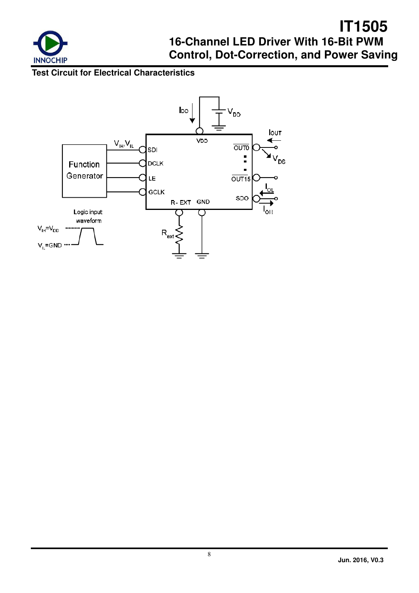

### **Test Circuit for Electrical Characteristics**

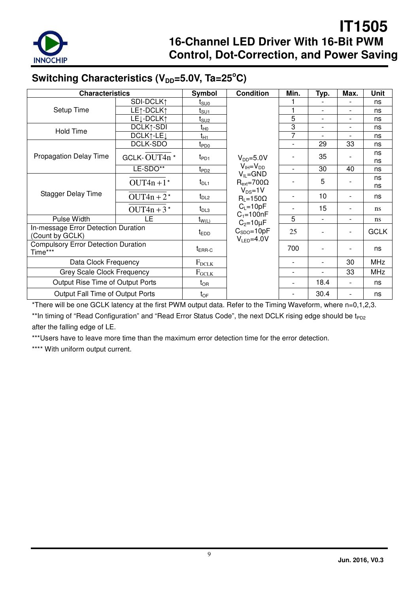

# Switching Characteristics (V<sub>DD</sub>=5.0V, Ta=25°C)

| <b>Characteristics</b>                                 |                        | Symbol                                | <b>Condition</b>                        | Min.                     | Typ.                     | Max.                     | Unit     |
|--------------------------------------------------------|------------------------|---------------------------------------|-----------------------------------------|--------------------------|--------------------------|--------------------------|----------|
|                                                        | SDI-DCLK1              | t <sub>suo</sub>                      |                                         |                          |                          |                          | ns       |
| Setup Time                                             | LE1-DCLK1              | t <sub>SU1</sub>                      |                                         | 1                        | $\overline{\phantom{a}}$ |                          | ns       |
|                                                        | LE <sub>1</sub> -DCLK1 | t <sub>SU2</sub>                      |                                         | 5                        | $\overline{\phantom{0}}$ |                          | ns       |
| <b>Hold Time</b>                                       | DCLK1-SDI              | $t_{H0}$                              |                                         | 3                        | $\overline{\phantom{a}}$ |                          | ns       |
|                                                        | DCLK1-LE <sub>J</sub>  | $t_{H1}$                              |                                         | 7                        |                          |                          | ns       |
|                                                        | DCLK-SDO               | t <sub>PD0</sub>                      |                                         | $\blacksquare$           | 29                       | 33                       | ns       |
| <b>Propagation Delay Time</b>                          | GCLK-OUT4n*            | $t_{PD1}$                             | $V_{DD} = 5.0V$                         |                          | 35                       |                          | ns<br>ns |
|                                                        | LE-SDO**               | $t_{PD2}$                             | $V_{IH} = V_{DD}$                       | $\overline{a}$           | 30                       | 40                       | ns       |
| OUT4n +1 $*$                                           |                        | $t_{DL1}$                             | $V_{IL} = GND$<br>$R_{ext} = 700\Omega$ |                          | 5                        |                          | ns<br>ns |
| <b>Stagger Delay Time</b>                              | $OUT4n + 2*$           | $t_{DL2}$                             | $V_{DS} = 1V$<br>$R_1 = 150\Omega$      |                          | 10                       |                          | ns       |
|                                                        | OUT4n + $3*$           | $t_{DL3}$                             | $C_L = 10pF$<br>$C_1 = 100nF$           |                          | 15                       | $\overline{\phantom{0}}$ | ns       |
| Pulse Width                                            | <b>LE</b>              | $t_{W(L)}$                            | $C2=10\mu F$                            | 5                        | $\overline{\phantom{a}}$ | -                        | ns       |
| In-message Error Detection Duration<br>(Count by GCLK) | $t_{EDD}$              | $C_{SDO} = 10pF$<br>$V_{LED} = 4.0 V$ | 25                                      |                          |                          | <b>GCLK</b>              |          |
| <b>Compulsory Error Detection Duration</b><br>Time***  | $t_{\sf ERR-C}$        |                                       | 700                                     | $\overline{\phantom{a}}$ |                          | ns                       |          |
| Data Clock Frequency                                   | $F_{DCLK}$             |                                       |                                         |                          | 30                       | <b>MHz</b>               |          |
| <b>Grey Scale Clock Frequency</b>                      | $F_{GCLK}$             |                                       |                                         |                          | 33                       | <b>MHz</b>               |          |
| Output Rise Time of Output Ports                       |                        | $t_{OR}$                              |                                         |                          | 18.4                     | $\overline{\phantom{0}}$ | ns       |
| Output Fall Time of Output Ports                       |                        | $t_{OF}$                              |                                         |                          | 30.4                     | $\overline{\phantom{0}}$ | ns       |

\*There will be one GCLK latency at the first PWM output data. Refer to the Timing Waveform, where n=0,1,2,3.

\*\*In timing of "Read Configuration" and "Read Error Status Code", the next DCLK rising edge should be t<sub>PD2</sub> after the falling edge of LE.

\*\*\*Users have to leave more time than the maximum error detection time for the error detection.

\*\*\*\* With uniform output current.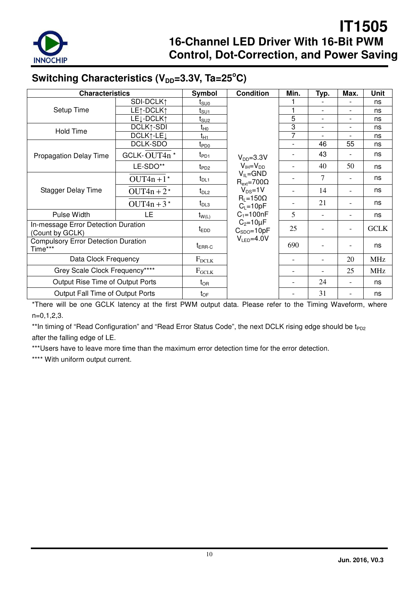

## Switching Characteristics (V<sub>DD</sub>=3.3V, Ta=25°C)

| <b>Characteristics</b>                                 |                                    | Symbol                                  | <b>Condition</b>                     | Min.                     | Typ. | Max.                     | Unit        |
|--------------------------------------------------------|------------------------------------|-----------------------------------------|--------------------------------------|--------------------------|------|--------------------------|-------------|
|                                                        | SDI-DCLK1                          | t <sub>suo</sub>                        |                                      |                          |      |                          | ns          |
| Setup Time                                             | LE1-DCLK1                          | t <sub>su1</sub>                        |                                      |                          |      | $\overline{\phantom{a}}$ | ns          |
|                                                        | LE <sub>J</sub> -DCLK <sub>1</sub> | t <sub>SU2</sub>                        |                                      | 5                        |      | $\overline{\phantom{a}}$ | ns          |
| <b>Hold Time</b>                                       | DCLK1-SDI                          | t <sub>H0</sub>                         |                                      | 3                        |      | $\overline{a}$           | ns          |
|                                                        | DCLK1-LE <sub>J</sub>              | $t_{H1}$                                |                                      | 7                        |      |                          | ns          |
|                                                        | DCLK-SDO                           | t <sub>PD0</sub>                        |                                      | $\blacksquare$           | 46   | 55                       | ns          |
| <b>Propagation Delay Time</b>                          | GCLK-OUT4n*                        | t <sub>PD1</sub>                        | $V_{DD} = 3.3V$                      |                          | 43   |                          | ns          |
|                                                        | LE-SDO**                           | t <sub>PD2</sub>                        | $V_{IH} = V_{DD}$                    |                          | 40   | 50                       | ns          |
|                                                        | $t_{DL1}$                          | $V_{IL} = GND$<br>$R_{ext} = 700\Omega$ |                                      | 7                        |      | ns                       |             |
| <b>Stagger Delay Time</b>                              | OUT4n + $2*$                       | $t_{DL2}$                               | $V_{DS} = 1V$                        | $\overline{\phantom{a}}$ | 14   | $\overline{a}$           | ns          |
|                                                        | OUT4n + $3*$                       | $t_{DL3}$                               | $R_L = 150\Omega$<br>$C_L = 10pF$    |                          | 21   |                          | ns          |
| Pulse Width                                            | LE                                 | $t_{W(L)}$                              | $C_1 = 100nF$                        | 5                        |      |                          | ns          |
| In-message Error Detection Duration<br>(Count by GCLK) |                                    | $t_{EDD}$                               | $C_2 = 10 \mu F$<br>$C_{SDO} = 10pF$ | 25                       |      |                          | <b>GCLK</b> |
| <b>Compulsory Error Detection Duration</b><br>Time***  | $t_{\sf ERR\text{-}C}$             | $V_{LED} = 4.0 V$                       | 690                                  |                          |      | ns                       |             |
| Data Clock Frequency                                   | $F_{DCLK}$                         |                                         |                                      |                          | 20   | <b>MHz</b>               |             |
| Grey Scale Clock Frequency****                         | $F_{GCLK}$                         |                                         |                                      |                          | 25   | <b>MHz</b>               |             |
| Output Rise Time of Output Ports                       |                                    | $t_{OR}$                                |                                      |                          | 24   | $\overline{a}$           | ns          |
| Output Fall Time of Output Ports                       |                                    | $t_{OF}$                                |                                      |                          | 31   |                          | ns          |

\*There will be one GCLK latency at the first PWM output data. Please refer to the Timing Waveform, where n=0,1,2,3.

\*\*In timing of "Read Configuration" and "Read Error Status Code", the next DCLK rising edge should be t<sub>PD2</sub> after the falling edge of LE.

\*\*\*Users have to leave more time than the maximum error detection time for the error detection.

\*\*\*\* With uniform output current.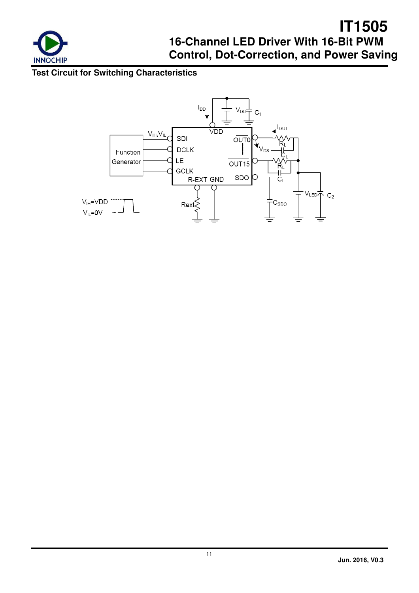

## **Test Circuit for Switching Characteristics**

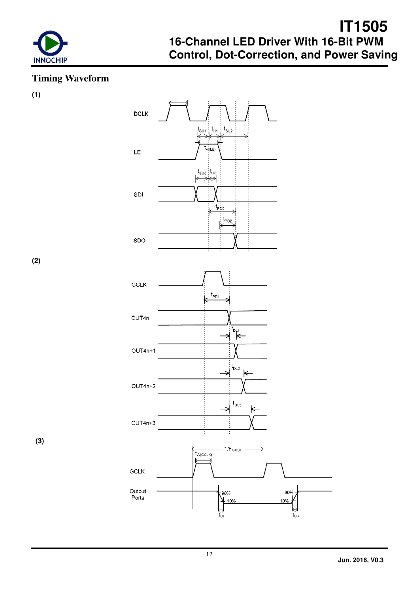

## **Timing Waveform**

**(1)** 



**(2)** 

 **(3)**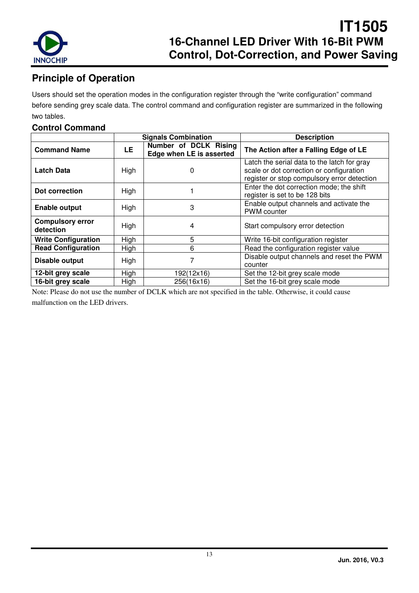

## **Principle of Operation**

Users should set the operation modes in the configuration register through the "write configuration" command before sending grey scale data. The control command and configuration register are summarized in the following two tables.

### **Control Command**

|                                      |      | <b>Signals Combination</b>                        | <b>Description</b>                                                                                                                     |
|--------------------------------------|------|---------------------------------------------------|----------------------------------------------------------------------------------------------------------------------------------------|
| <b>Command Name</b>                  | LE   | Number of DCLK Rising<br>Edge when LE is asserted | The Action after a Falling Edge of LE                                                                                                  |
| <b>Latch Data</b>                    | High | 0                                                 | Latch the serial data to the latch for gray<br>scale or dot correction or configuration<br>register or stop compulsory error detection |
| Dot correction                       | High |                                                   | Enter the dot correction mode; the shift<br>register is set to be 128 bits                                                             |
| <b>Enable output</b>                 | High | 3                                                 | Enable output channels and activate the<br><b>PWM</b> counter                                                                          |
| <b>Compulsory error</b><br>detection | High | 4                                                 | Start compulsory error detection                                                                                                       |
| <b>Write Configuration</b>           | High | 5                                                 | Write 16-bit configuration register                                                                                                    |
| <b>Read Configuration</b>            | High | 6                                                 | Read the configuration register value                                                                                                  |
| Disable output                       | High |                                                   | Disable output channels and reset the PWM<br>counter                                                                                   |
| 12-bit grey scale                    | High | 192(12x16)                                        | Set the 12-bit grey scale mode                                                                                                         |
| 16-bit grey scale                    | High | 256(16x16)                                        | Set the 16-bit grey scale mode                                                                                                         |

Note: Please do not use the number of DCLK which are not specified in the table. Otherwise, it could cause malfunction on the LED drivers.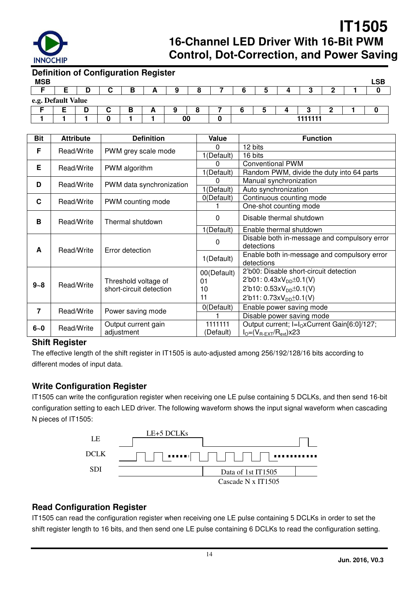

| <b>Definition of Configuration Register</b> |   |   |  |    |  |   |         |  |            |
|---------------------------------------------|---|---|--|----|--|---|---------|--|------------|
| <b>MSB</b>                                  |   |   |  |    |  |   |         |  | <b>LSB</b> |
|                                             | D | в |  |    |  | э |         |  |            |
| e.g. Default Value                          |   |   |  |    |  |   |         |  |            |
|                                             |   | в |  |    |  | b |         |  |            |
|                                             |   |   |  | 00 |  |   | 1111111 |  |            |

| <b>Bit</b>     | <b>Attribute</b> | <b>Definition</b>               | Value                           | <b>Function</b>                                              |
|----------------|------------------|---------------------------------|---------------------------------|--------------------------------------------------------------|
| F              |                  |                                 | 0                               | 12 bits                                                      |
|                | Read/Write       | PWM grey scale mode             | 1(Default)                      | 16 bits                                                      |
| Е              | Read/Write       | PWM algorithm                   | 0                               | <b>Conventional PWM</b>                                      |
|                |                  |                                 | 1(Default)                      | Random PWM, divide the duty into 64 parts                    |
| D              | Read/Write       | PWM data synchronization        | 0                               | Manual synchronization                                       |
|                |                  |                                 | 1(Default)                      | Auto synchronization                                         |
| C              | Read/Write       | PWM counting mode               | 0(Default)                      | Continuous counting mode                                     |
|                |                  |                                 |                                 | One-shot counting mode                                       |
| B              | Read/Write       | Thermal shutdown                | 0                               | Disable thermal shutdown                                     |
|                |                  |                                 | 1(Default)                      | Enable thermal shutdown                                      |
|                |                  | Error detection                 | 0                               | Disable both in-message and compulsory error<br>detections   |
| A              | Read/Write       |                                 | 1(Default)                      | Enable both in-message and compulsory error<br>detections    |
|                |                  |                                 | 00(Default)                     | 2'b00: Disable short-circuit detection                       |
| $9 - 8$        | Read/Write       | Threshold voltage of            | 01                              | $2'b01: 0.43xV_{DD} \pm 0.1(V)$                              |
|                |                  | short-circuit detection         | 10                              | 2'b10: $0.53xV_{DD} \pm 0.1(V)$                              |
|                |                  | 11                              | $2'b11: 0.73xV_{DD} \pm 0.1(V)$ |                                                              |
| $\overline{7}$ |                  |                                 | 0(Default)                      | Enable power saving mode                                     |
|                |                  | Read/Write<br>Power saving mode |                                 | Disable power saving mode                                    |
| $6 - 0$        | Read/Write       | Output current gain             | 1111111                         | Output current; I=I <sub>O</sub> xCurrent Gain[6:0]/127;     |
|                |                  | adjustment                      | (Default)                       | $I_{\text{O}} = (V_{\text{R-EXT}}/R_{\text{ext}}) \times 23$ |

#### **Shift Register**

The effective length of the shift register in IT1505 is auto-adjusted among 256/192/128/16 bits according to different modes of input data.

### **Write Configuration Register**

IT1505 can write the configuration register when receiving one LE pulse containing 5 DCLKs, and then send 16-bit configuration setting to each LED driver. The following waveform shows the input signal waveform when cascading N pieces of IT1505:



### **Read Configuration Register**

IT1505 can read the configuration register when receiving one LE pulse containing 5 DCLKs in order to set the shift register length to 16 bits, and then send one LE pulse containing 6 DCLKs to read the configuration setting.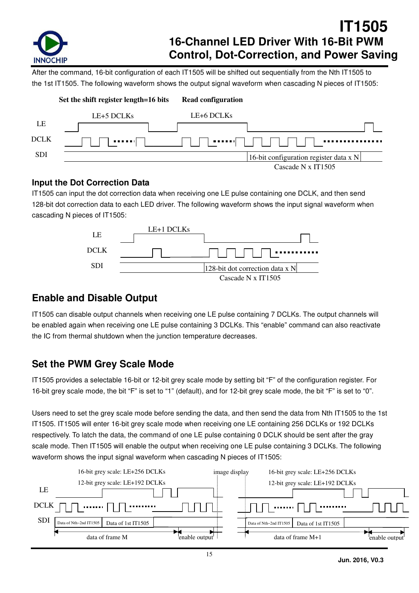

After the command, 16-bit configuration of each IT1505 will be shifted out sequentially from the Nth IT1505 to the 1st IT1505. The following waveform shows the output signal waveform when cascading N pieces of IT1505:



### **Input the Dot Correction Data**

IT1505 can input the dot correction data when receiving one LE pulse containing one DCLK, and then send 128-bit dot correction data to each LED driver. The following waveform shows the input signal waveform when cascading N pieces of IT1505:



### **Enable and Disable Output**

IT1505 can disable output channels when receiving one LE pulse containing 7 DCLKs. The output channels will be enabled again when receiving one LE pulse containing 3 DCLKs. This "enable" command can also reactivate the IC from thermal shutdown when the junction temperature decreases.

## **Set the PWM Grey Scale Mode**

IT1505 provides a selectable 16-bit or 12-bit grey scale mode by setting bit "F" of the configuration register. For 16-bit grey scale mode, the bit "F" is set to "1" (default), and for 12-bit grey scale mode, the bit "F" is set to "0".

Users need to set the grey scale mode before sending the data, and then send the data from Nth IT1505 to the 1st IT1505. IT1505 will enter 16-bit grey scale mode when receiving one LE containing 256 DCLKs or 192 DCLKs respectively. To latch the data, the command of one LE pulse containing 0 DCLK should be sent after the gray scale mode. Then IT1505 will enable the output when receiving one LE pulse containing 3 DCLKs. The following waveform shows the input signal waveform when cascading N pieces of IT1505:

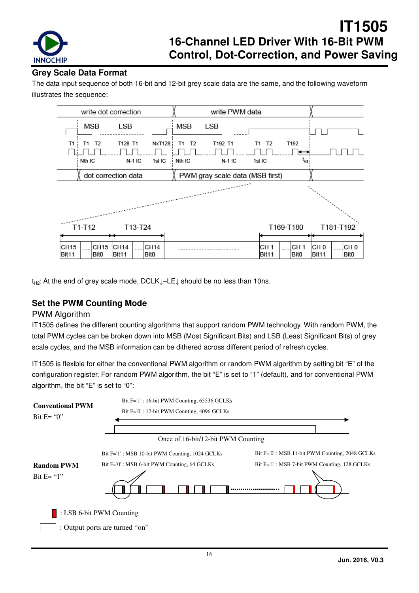

### **Grey Scale Data Format**

The data input sequence of both 16-bit and 12-bit grey scale data are the same, and the following waveform illustrates the sequence:



t<sub>H2</sub>: At the end of grey scale mode, DCLK↓–LE↓ should be no less than 10ns.

### **Set the PWM Counting Mode**

#### PWM Algorithm

IT1505 defines the different counting algorithms that support random PWM technology. With random PWM, the total PWM cycles can be broken down into MSB (Most Significant Bits) and LSB (Least Significant Bits) of grey scale cycles, and the MSB information can be dithered across different period of refresh cycles.

IT1505 is flexible for either the conventional PWM algorithm or random PWM algorithm by setting bit "E" of the configuration register. For random PWM algorithm, the bit "E" is set to "1" (default), and for conventional PWM algorithm, the bit "E" is set to "0":

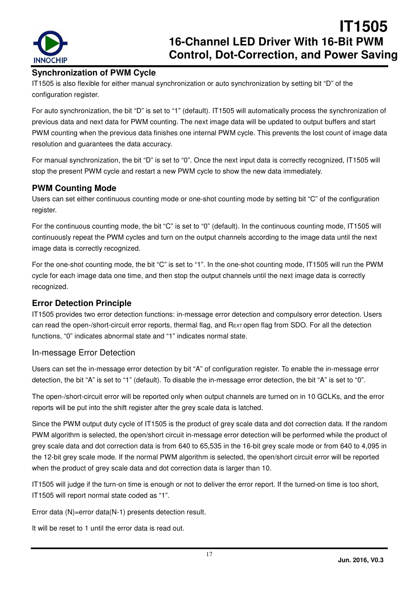

### **Synchronization of PWM Cycle**

IT1505 is also flexible for either manual synchronization or auto synchronization by setting bit "D" of the configuration register.

For auto synchronization, the bit "D" is set to "1" (default). IT1505 will automatically process the synchronization of previous data and next data for PWM counting. The next image data will be updated to output buffers and start PWM counting when the previous data finishes one internal PWM cycle. This prevents the lost count of image data resolution and guarantees the data accuracy.

For manual synchronization, the bit "D" is set to "0". Once the next input data is correctly recognized, IT1505 will stop the present PWM cycle and restart a new PWM cycle to show the new data immediately.

### **PWM Counting Mode**

Users can set either continuous counting mode or one-shot counting mode by setting bit "C" of the configuration register.

For the continuous counting mode, the bit "C" is set to "0" (default). In the continuous counting mode, IT1505 will continuously repeat the PWM cycles and turn on the output channels according to the image data until the next image data is correctly recognized.

For the one-shot counting mode, the bit "C" is set to "1". In the one-shot counting mode, IT1505 will run the PWM cycle for each image data one time, and then stop the output channels until the next image data is correctly recognized.

### **Error Detection Principle**

IT1505 provides two error detection functions: in-message error detection and compulsory error detection. Users can read the open-/short-circuit error reports, thermal flag, and REXT open flag from SDO. For all the detection functions, "0" indicates abnormal state and "1" indicates normal state.

#### In-message Error Detection

Users can set the in-message error detection by bit "A" of configuration register. To enable the in-message error detection, the bit "A" is set to "1" (default). To disable the in-message error detection, the bit "A" is set to "0".

The open-/short-circuit error will be reported only when output channels are turned on in 10 GCLKs, and the error reports will be put into the shift register after the grey scale data is latched.

Since the PWM output duty cycle of IT1505 is the product of grey scale data and dot correction data. If the random PWM algorithm is selected, the open/short circuit in-message error detection will be performed while the product of grey scale data and dot correction data is from 640 to 65,535 in the 16-bit grey scale mode or from 640 to 4,095 in the 12-bit grey scale mode. If the normal PWM algorithm is selected, the open/short circuit error will be reported when the product of grey scale data and dot correction data is larger than 10.

IT1505 will judge if the turn-on time is enough or not to deliver the error report. If the turned-on time is too short, IT1505 will report normal state coded as "1".

Error data (N)=error data(N-1) presents detection result.

It will be reset to 1 until the error data is read out.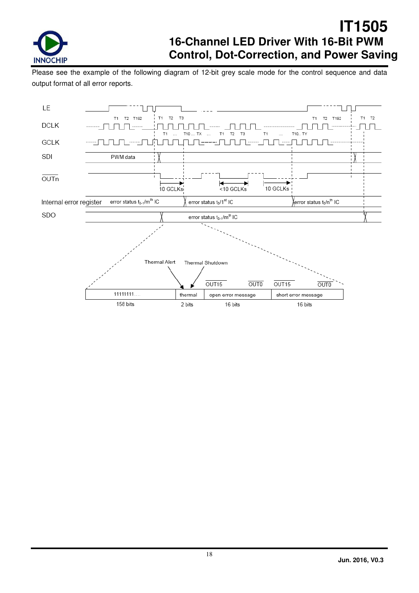

Please see the example of the following diagram of 12-bit grey scale mode for the control sequence and data output format of all error reports.

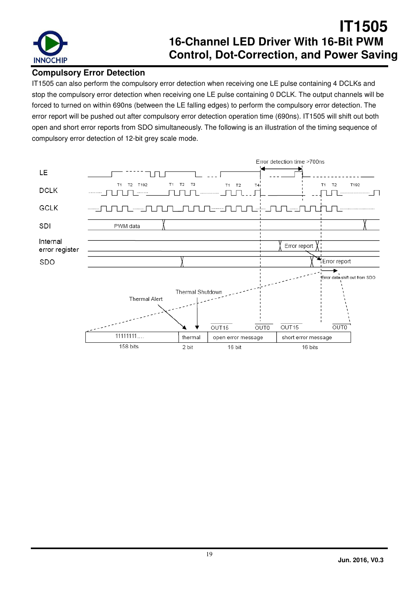

### **Compulsory Error Detection**

IT1505 can also perform the compulsory error detection when receiving one LE pulse containing 4 DCLKs and stop the compulsory error detection when receiving one LE pulse containing 0 DCLK. The output channels will be forced to turned on within 690ns (between the LE falling edges) to perform the compulsory error detection. The error report will be pushed out after compulsory error detection operation time (690ns). IT1505 will shift out both open and short error reports from SDO simultaneously. The following is an illustration of the timing sequence of compulsory error detection of 12-bit grey scale mode.

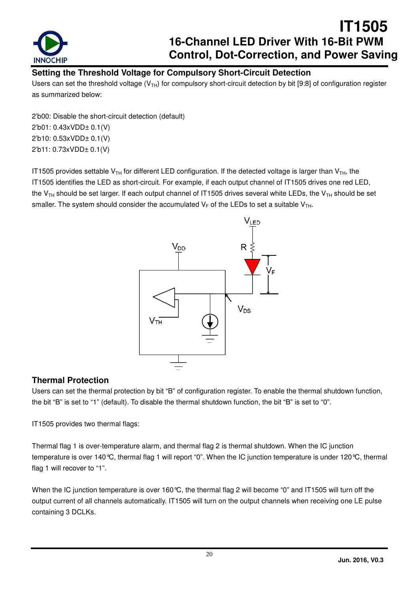

### **Setting the Threshold Voltage for Compulsory Short-Circuit Detection**

Users can set the threshold voltage ( $V<sub>TH</sub>$ ) for compulsory short-circuit detection by bit [9:8] of configuration register as summarized below:

2'b00: Disable the short-circuit detection (default) 2'b01: 0.43xVDD± 0.1(V) 2'b10: 0.53xVDD± 0.1(V) 2'b11: 0.73xVDD± 0.1(V)

IT1505 provides settable  $V_{TH}$  for different LED configuration. If the detected voltage is larger than  $V_{TH}$ , the IT1505 identifies the LED as short-circuit. For example, if each output channel of IT1505 drives one red LED, the V<sub>TH</sub> should be set larger. If each output channel of IT1505 drives several white LEDs, the V<sub>TH</sub> should be set smaller. The system should consider the accumulated  $V_F$  of the LEDs to set a suitable  $V_{TH}$ .



### **Thermal Protection**

Users can set the thermal protection by bit "B" of configuration register. To enable the thermal shutdown function, the bit "B" is set to "1" (default). To disable the thermal shutdown function, the bit "B" is set to "0".

IT1505 provides two thermal flags:

Thermal flag 1 is over-temperature alarm, and thermal flag 2 is thermal shutdown. When the IC junction temperature is over 140°C, thermal flag 1 will report "0". When the IC junction temperature is under 120°C, thermal flag 1 will recover to "1".

When the IC junction temperature is over 160 °C, the thermal flag 2 will become "0" and IT1505 will turn off the output current of all channels automatically. IT1505 will turn on the output channels when receiving one LE pulse containing 3 DCLKs.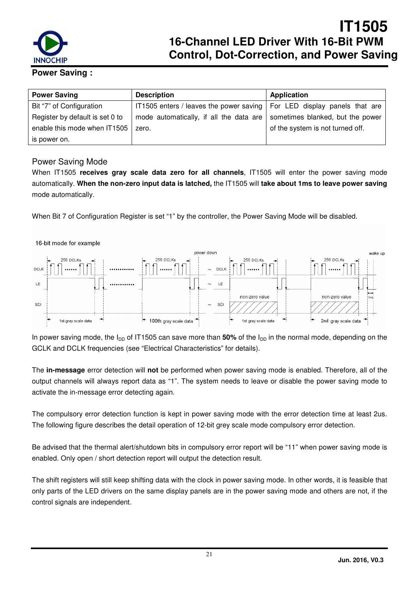

#### **Power Saving :**

| <b>Power Saving</b>             | <b>Description</b>                                                              | Application                      |
|---------------------------------|---------------------------------------------------------------------------------|----------------------------------|
| Bit "7" of Configuration        | IT1505 enters / leaves the power saving $\vert$ For LED display panels that are |                                  |
| Register by default is set 0 to | mode automatically, if all the data are                                         | sometimes blanked, but the power |
| enable this mode when IT1505    | zero.                                                                           | of the system is not turned off. |
| is power on.                    |                                                                                 |                                  |

#### Power Saving Mode

When IT1505 **receives gray scale data zero for all channels**, IT1505 will enter the power saving mode automatically. **When the non-zero input data is latched,** the IT1505 will **take about 1ms to leave power saving** mode automatically.

When Bit 7 of Configuration Register is set "1" by the controller, the Power Saving Mode will be disabled.



In power saving mode, the  $I_{DD}$  of IT1505 can save more than 50% of the  $I_{DD}$  in the normal mode, depending on the GCLK and DCLK frequencies (see "Electrical Characteristics" for details).

The **in-message** error detection will **not** be performed when power saving mode is enabled. Therefore, all of the output channels will always report data as "1". The system needs to leave or disable the power saving mode to activate the in-message error detecting again.

The compulsory error detection function is kept in power saving mode with the error detection time at least 2us. The following figure describes the detail operation of 12-bit grey scale mode compulsory error detection.

Be advised that the thermal alert/shutdown bits in compulsory error report will be "11" when power saving mode is enabled. Only open / short detection report will output the detection result.

The shift registers will still keep shifting data with the clock in power saving mode. In other words, it is feasible that only parts of the LED drivers on the same display panels are in the power saving mode and others are not, if the control signals are independent.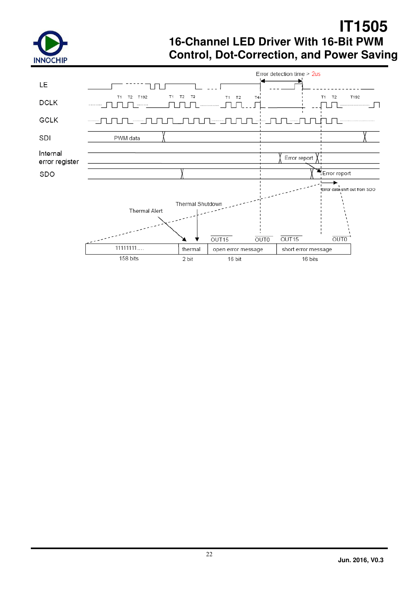

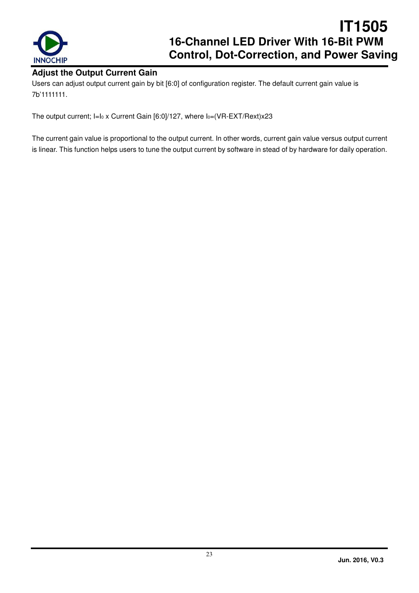

### **Adjust the Output Current Gain**

Users can adjust output current gain by bit [6:0] of configuration register. The default current gain value is 7b'1111111.

The output current; I=Io x Current Gain [6:0]/127, where Io=(VR-EXT/Rext)x23

The current gain value is proportional to the output current. In other words, current gain value versus output current is linear. This function helps users to tune the output current by software in stead of by hardware for daily operation.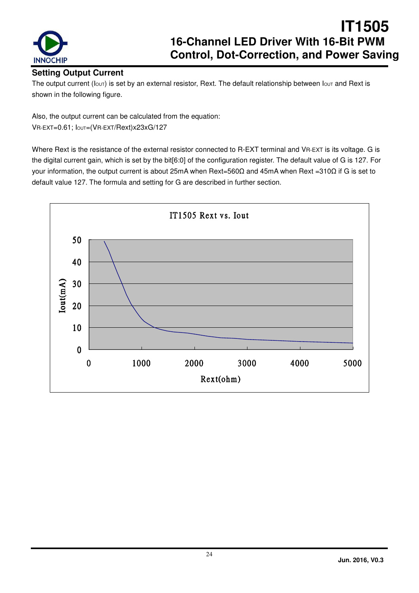

### **Setting Output Current**

The output current ( $I_{\text{OUT}}$ ) is set by an external resistor, Rext. The default relationship between  $I_{\text{OUT}}$  and Rext is shown in the following figure.

Also, the output current can be calculated from the equation:

VR-EXT=0.61; IOUT=(VR-EXT/Rext)x23xG/127

Where Rext is the resistance of the external resistor connected to R-EXT terminal and VR-EXT is its voltage. G is the digital current gain, which is set by the bit[6:0] of the configuration register. The default value of G is 127. For your information, the output current is about 25mA when Rext=560Ω and 45mA when Rext =310Ω if G is set to default value 127. The formula and setting for G are described in further section.

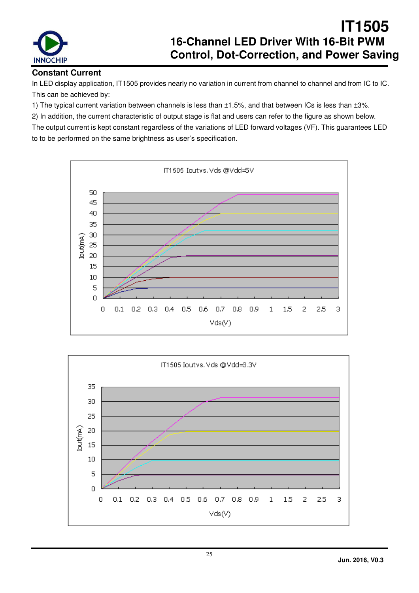

### **Constant Current**

In LED display application, IT1505 provides nearly no variation in current from channel to channel and from IC to IC. This can be achieved by:

1) The typical current variation between channels is less than ±1.5%, and that between ICs is less than ±3%.

2) In addition, the current characteristic of output stage is flat and users can refer to the figure as shown below. The output current is kept constant regardless of the variations of LED forward voltages (VF). This guarantees LED to to be performed on the same brightness as user's specification.



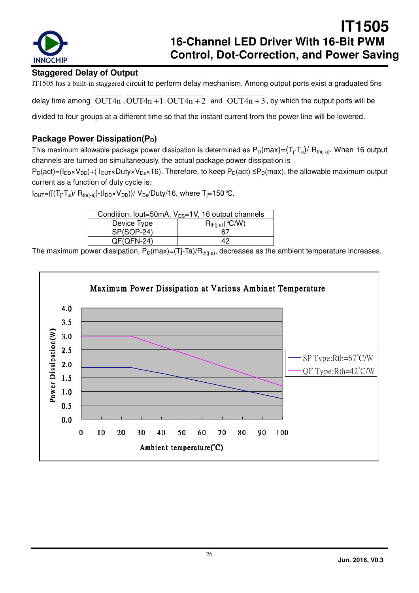

### **Staggered Delay of Output**

IT1505 has a built-in staggered circuit to perform delay mechanism. Among output ports exist a graduated 5ns

delay time among  $\overline{OUT4n}$ ,  $\overline{OUT4n+1}$ ,  $\overline{OUT4n+2}$  and  $\overline{OUT4n+3}$ , by which the output ports will be

divided to four groups at a different time so that the instant current from the power line will be lowered.

### **Package Power Dissipation(P<sub>D</sub>)**

This maximum allowable package power dissipation is determined as  $P_D(max) = (T_i - T_a)/ R_{th(i-a)}$ . When 16 output channels are turned on simultaneously, the actual package power dissipation is

 $P_D(act)=(I_{DD}\times V_{DD})+(I_{OUT}\times Duty\times V_{Ds}\times 16)$ . Therefore, to keep  $P_D(act)\leq P_D(max)$ , the allowable maximum output current as a function of duty cycle is:

 $I_{\text{OUT}}=[[(T_i-T_a)/R_{th(i-a)}]-(I_{\text{DD}}\times V_{\text{DD}})]/V_{\text{DS}}/Duty/16$ , where  $T_i=150$  °C.

| Condition: lout=50mA, $V_{DS}=1V$ , 16 output channels |                      |  |  |  |  |  |
|--------------------------------------------------------|----------------------|--|--|--|--|--|
| Device Type                                            | $R_{th(i-a)}$ (°C/W) |  |  |  |  |  |
| SP(SOP-24)                                             | 67                   |  |  |  |  |  |
| $QF(QFN-24)$                                           | 19                   |  |  |  |  |  |

The maximum power dissipation,  $P_D(max)=(Tj-Ta)/R_{th(j-a)}$ , decreases as the ambient temperature increases.

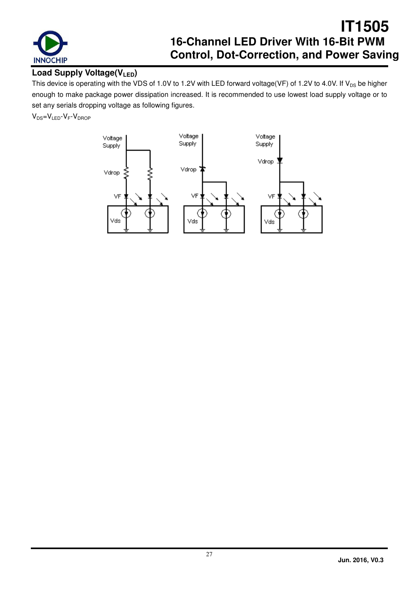

### **Load Supply Voltage(VLED)**

This device is operating with the VDS of 1.0V to 1.2V with LED forward voltage(VF) of 1.2V to 4.0V. If  $V_{DS}$  be higher enough to make package power dissipation increased. It is recommended to use lowest load supply voltage or to set any serials dropping voltage as following figures.

 $V_{DS}=V_{LED} - V_F - V_{DROP}$ 

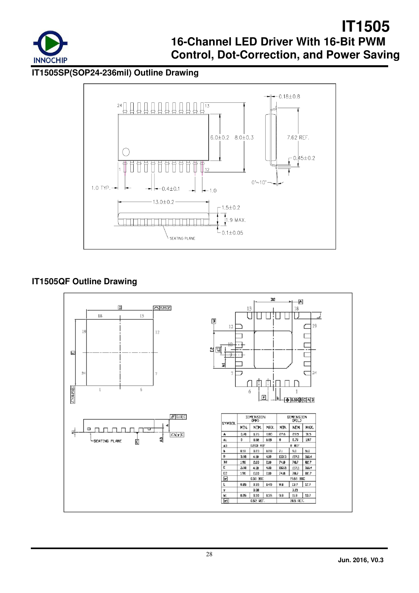

**IT1505SP(SOP24-236mil) Outline Drawing** 



### **IT1505QF Outline Drawing**